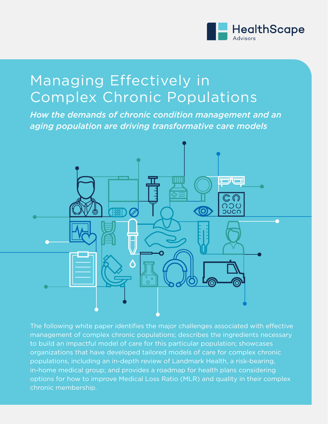

*HealthScape Advisors* | 1

## Managing Effectively in Complex Chronic Populations

*How the demands of chronic condition management and an aging population are driving transformative care models*



The following white paper identifies the major challenges associated with effective management of complex chronic populations; describes the ingredients necessary to build an impactful model of care for this particular population; showcases organizations that have developed tailored models of care for complex chronic populations, including an in-depth review of Landmark Health, a risk-bearing, in-home medical group; and provides a roadmap for health plans considering options for how to improve Medical Loss Ratio (MLR) and quality in their complex chronic membership.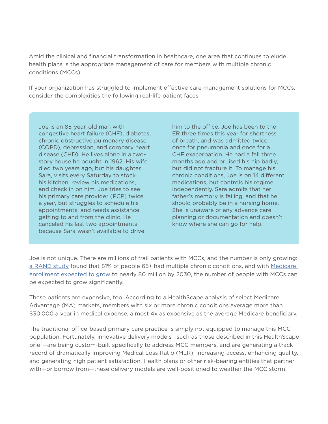Amid the clinical and financial transformation in healthcare, one area that continues to elude health plans is the appropriate management of care for members with multiple chronic conditions (MCCs).

If your organization has struggled to implement effective care management solutions for MCCs, consider the complexities the following real-life patient faces.

Joe is an 85-year-old man with congestive heart failure (CHF), diabetes, chronic obstructive pulmonary disease (COPD), depression, and coronary heart disease (CHD). He lives alone in a twostory house he bought in 1962. His wife died two years ago, but his daughter, Sara, visits every Saturday to stock his kitchen, review his medications, and check in on him. Joe tries to see his primary care provider (PCP) twice a year, but struggles to schedule his appointments, and needs assistance getting to and from the clinic. He canceled his last two appointments because Sara wasn't available to drive

him to the office. Joe has been to the ER three times this year for shortness of breath, and was admitted twice: once for pneumonia and once for a CHF exacerbation. He had a fall three months ago and bruised his hip badly, but did not fracture it. To manage his chronic conditions, Joe is on 14 different medications, but controls his regime independently. Sara admits that her father's memory is failing, and that he should probably be in a nursing home. She is unaware of any advance care planning or documentation and doesn't know where she can go for help.

Joe is not unique. There are millions of frail patients with MCCs, and the number is only growing: [a RAND study](http://www.fightchronicdisease.org/sites/default/files/TL221_final.pdf) found that 81% of people 65+ had multiple chronic conditions, and with [Medicare](https://assets.aarp.org/rgcenter/health/fs149_medicare.pdf)  [enrollment expected to grow](https://assets.aarp.org/rgcenter/health/fs149_medicare.pdf) to nearly 80 million by 2030, the number of people with MCCs can be expected to grow significantly.

These patients are expensive, too. According to a HealthScape analysis of select Medicare Advantage (MA) markets, members with six or more chronic conditions average more than \$30,000 a year in medical expense, almost 4x as expensive as the average Medicare beneficiary.

The traditional office-based primary care practice is simply not equipped to manage this MCC population. Fortunately, innovative delivery models—such as those described in this HealthScape brief—are being custom-built specifically to address MCC members, and are generating a track record of dramatically improving Medical Loss Ratio (MLR), increasing access, enhancing quality, and generating high patient satisfaction. Health plans or other risk-bearing entities that partner with—or borrow from—these delivery models are well-positioned to weather the MCC storm.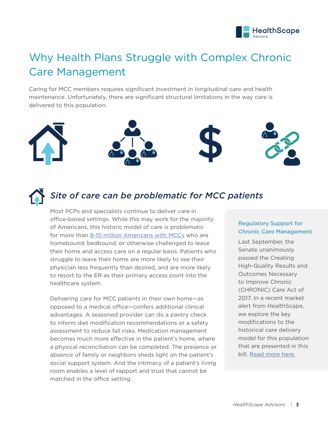

## Why Health Plans Struggle with Complex Chronic Care Management

Caring for MCC members requires significant investment in longitudinal care and health maintenance. Unfortunately, there are significant structural limitations in the way care is delivered to this population.





### *Site of care can be problematic for MCC patients*

Most PCPs and specialists continue to deliver care in office-based settings. While this may work for the majority of Americans, this historic model of care is problematic for more than [8-10 million Americans with MCCs](https://www.nytimes.com/2015/06/23/health/at-home-many-seniors-are-imprisoned-by-their-independence.html?mcubz=0) who are homebound, bedbound, or otherwise challenged to leave their home and access care on a regular basis. Patients who struggle to leave their home are more likely to see their physician less frequently than desired, and are more likely to resort to the ER as their primary access point into the healthcare system.

Delivering care for MCC patients in their own home—as opposed to a medical office—confers additional clinical advantages. A seasoned provider can do a pantry check to inform diet modification recommendations or a safety assessment to reduce fall risks. Medication management becomes much more effective in the patient's home, where a physical reconciliation can be completed. The presence or absence of family or neighbors sheds light on the patient's social support system. And the intimacy of a patient's living room enables a level of rapport and trust that cannot be matched in the office setting.

#### Regulatory Support for Chronic Care Management

Last September, the Senate unanimously passed the Creating High-Quality Results and Outcomes Necessary to Improve Chronic (CHRONIC) Care Act of 2017. In a recent market alert from HealthScape, we explore the key modifications to the historical care delivery model for this population that are presented in this bill. [Read more here.](https://healthscape.com/sites/default/files/uploads/documents/HealthScape%20Market%20Alert_MA%20Chronic%20Care%20Strategy.pdf)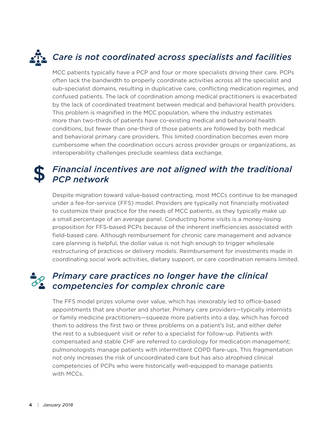# *Care is not coordinated across specialists and facilities*

MCC patients typically have a PCP and four or more specialists driving their care. PCPs often lack the bandwidth to properly coordinate activities across all the specialist and sub-specialist domains, resulting in duplicative care, conflicting medication regimes, and confused patients. The lack of coordination among medical practitioners is exacerbated by the lack of coordinated treatment between medical and behavioral health providers. This problem is magnified in the MCC population, where the industry estimates more than two-thirds of patients have co-existing medical and behavioral health conditions, but fewer than one-third of those patients are followed by both medical and behavioral primary care providers. This limited coordination becomes even more cumbersome when the coordination occurs across provider groups or organizations, as interoperability challenges preclude seamless data exchange.

### *Financial incentives are not aligned with the traditional PCP network*

Despite migration toward value-based contracting, most MCCs continue to be managed under a fee-for-service (FFS) model. Providers are typically not financially motivated to customize their practice for the needs of MCC patients, as they typically make up a small percentage of an average panel. Conducting home visits is a money-losing proposition for FFS-based PCPs because of the inherent inefficiencies associated with field-based care. Although reimbursement for chronic care management and advance care planning is helpful, the dollar value is not high enough to trigger wholesale restructuring of practices or delivery models. Reimbursement for investments made in coordinating social work activities, dietary support, or care coordination remains limited.

### *Primary care practices no longer have the clinical competencies for complex chronic care*

The FFS model prizes volume over value, which has inexorably led to office-based appointments that are shorter and shorter. Primary care providers—typically internists or family medicine practitioners—squeeze more patients into a day, which has forced them to address the first two or three problems on a patient's list, and either defer the rest to a subsequent visit or refer to a specialist for follow-up. Patients with compensated and stable CHF are referred to cardiology for medication management; pulmonologists manage patients with intermittent COPD flare-ups. This fragmentation not only increases the risk of uncoordinated care but has also atrophied clinical competencies of PCPs who were historically well-equipped to manage patients with MCCs.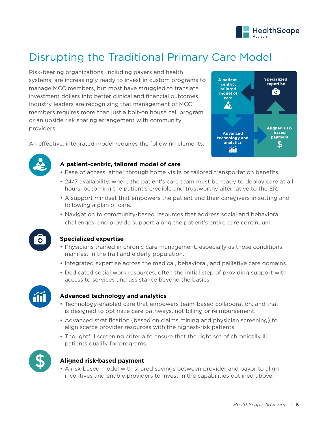

### Disrupting the Traditional Primary Care Model

Risk-bearing organizations, including payers and health systems, are increasingly ready to invest in custom programs to manage MCC members, but most have struggled to translate investment dollars into better clinical and financial outcomes. Industry leaders are recognizing that management of MCC members requires more than just a bolt-on house call program or an upside risk sharing arrangement with community providers.



An effective, integrated model requires the following elements:



#### **A patient-centric, tailored model of care**

- Ease of access, either through home visits or tailored transportation benefits.
- 24/7 availability, where the patient's care team must be ready to deploy care at all hours, becoming the patient's credible and trustworthy alternative to the ER.
- A support mindset that empowers the patient and their caregivers in setting and following a plan of care.
- Navigation to community-based resources that address social and behavioral challenges, and provide support along the patient's entire care continuum.



#### **Specialized expertise**

- Physicians trained in chronic care management, especially as those conditions manifest in the frail and elderly population.
- Integrated expertise across the medical, behavioral, and palliative care domains.
- Dedicated social work resources, often the initial step of providing support with access to services and assistance beyond the basics.



#### **Advanced technology and analytics**

- Technology-enabled care that empowers team-based collaboration, and that is designed to optimize care pathways, not billing or reimbursement.
- Advanced stratification (based on claims mining and physician screening) to align scarce provider resources with the highest-risk patients.
- Thoughtful screening criteria to ensure that the right set of chronically ill patients qualify for programs.



#### **Aligned risk-based payment**

• A risk-based model with shared savings between provider and payor to align incentives and enable providers to invest in the capabilities outlined above.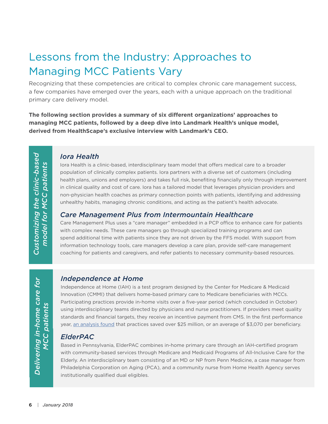### Lessons from the Industry: Approaches to Managing MCC Patients Vary

Recognizing that these competencies are critical to complex chronic care management success, a few companies have emerged over the years, each with a unique approach on the traditional primary care delivery model.

**The following section provides a summary of six different organizations' approaches to managing MCC patients, followed by a deep dive into Landmark Health's unique model, derived from HealthScape's exclusive interview with Landmark's CEO.** 

*Customizing the clinic-based*  Customizing the clinic-based model for MCC patients *model for MCC patients*

#### *Iora Health*

Iora Health is a clinic-based, interdisciplinary team model that offers medical care to a broader population of clinically complex patients. Iora partners with a diverse set of customers (including health plans, unions and employers) and takes full risk, benefiting financially only through improvement in clinical quality and cost of care. Iora has a tailored model that leverages physician providers and non-physician health coaches as primary connection points with patients, identifying and addressing unhealthy habits, managing chronic conditions, and acting as the patient's health advocate.

#### *Care Management Plus from Intermountain Healthcare*

Care Management Plus uses a "care manager" embedded in a PCP office to enhance care for patients with complex needs. These care managers go through specialized training programs and can spend additional time with patients since they are not driven by the FFS model. With support from information technology tools, care managers develop a care plan, provide self-care management coaching for patients and caregivers, and refer patients to necessary community-based resources.

#### *Independence at Home*

Independence at Home (IAH) is a test program designed by the Center for Medicare & Medicaid Innovation (CMMI) that delivers home-based primary care to Medicare beneficiaries with MCCs. Participating practices provide in-home visits over a five-year period (which concluded in October) using interdisciplinary teams directed by physicians and nurse practitioners. If providers meet quality standards and financial targets, they receive an incentive payment from CMS. In the first performance year, [an analysis found](https://www.cms.gov/Newsroom/MediaReleaseDatabase/Press-releases/2015-Press-releases-items/2015-06-18.html) that practices saved over \$25 million, or an average of \$3,070 per beneficiary.

#### *ElderPAC*

Based in Pennsylvania, ElderPAC combines in-home primary care through an IAH-certified program with community-based services through Medicare and Medicaid Programs of All-Inclusive Care for the Elderly. An interdisciplinary team consisting of an MD or NP from Penn Medicine, a case manager from Philadelphia Corporation on Aging (PCA), and a community nurse from Home Health Agency serves institutionally qualified dual eligibles.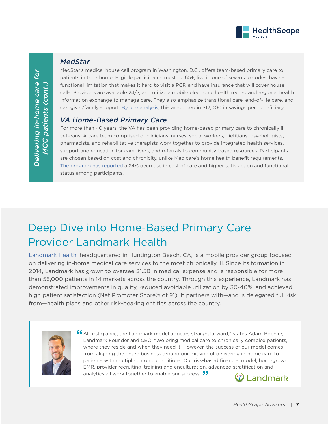

#### *MedStar*

MedStar's medical house call program in Washington, D.C., offers team-based primary care to patients in their home. Eligible participants must be 65+, live in one of seven zip codes, have a functional limitation that makes it hard to visit a PCP, and have insurance that will cover house calls. Providers are available 24/7, and utilize a mobile electronic health record and regional health information exchange to manage care. They also emphasize transitional care, end-of-life care, and caregiver/family support. [By one analysis,](https://www.washingtonpost.com/national/health-science/house-calls-are-coming-back-this-may-mean-better-care-for-the-elderly/2016/06/03/5116f77e-21c8-11e6-9e7f-57890b612299_story.html?utm_term=.1c7c0721373b) this amounted in \$12,000 in savings per beneficiary.

#### *VA Home-Based Primary Care*

For more than 40 years, the VA has been providing home-based primary care to chronically ill veterans. A care team comprised of clinicians, nurses, social workers, dietitians, psychologists, pharmacists, and rehabilitative therapists work together to provide integrated health services, support and education for caregivers, and referrals to community-based resources. Participants are chosen based on cost and chronicity, unlike Medicare's home health benefit requirements. [The program has reported](http://homehealth4america.org/images/pdf/va-hbpc.pdf) a 24% decrease in cost of care and higher satisfaction and functional status among participants.

### Deep Dive into Home-Based Primary Care Provider Landmark Health

[Landmark Health,](https://www.landmarkhealth.org/) headquartered in Huntington Beach, CA, is a mobile provider group focused on delivering in-home medical care services to the most chronically ill. Since its formation in 2014, Landmark has grown to oversee \$1.5B in medical expense and is responsible for more than 55,000 patients in 14 markets across the country. Through this experience, Landmark has demonstrated improvements in quality, reduced avoidable utilization by 30-40%, and achieved high patient satisfaction (Net Promoter Score© of 91). It partners with—and is delegated full risk from—health plans and other risk-bearing entities across the country.



**••** At first glance, the Landmark model appears straightforward," states Adam Boehler, Landmark Founder and CEO. "We bring medical care to chronically complex patients Landmark Founder and CEO. "We bring medical care to chronically complex patients, where they reside and when they need it. However, the success of our model comes from aligning the entire business around our mission of delivering in-home care to patients with multiple chronic conditions. Our risk-based financial model, homegrown EMR, provider recruiting, training and enculturation, advanced stratification and analytics all work together to enable our success. <sup>11</sup>  $\bullet$  Landmark

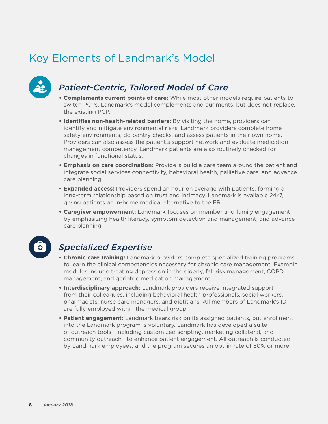### Key Elements of Landmark's Model



### *Patient-Centric, Tailored Model of Care*

- **• Complements current points of care:** While most other models require patients to switch PCPs, Landmark's model complements and augments, but does not replace, the existing PCP.
- **• Identifies non-health-related barriers:** By visiting the home, providers can identify and mitigate environmental risks. Landmark providers complete home safety environments, do pantry checks, and assess patients in their own home. Providers can also assess the patient's support network and evaluate medication management competency. Landmark patients are also routinely checked for changes in functional status.
- **• Emphasis on care coordination:** Providers build a care team around the patient and integrate social services connectivity, behavioral health, palliative care, and advance care planning.
- **• Expanded access:** Providers spend an hour on average with patients, forming a long-term relationship based on trust and intimacy. Landmark is available 24/7, giving patients an in-home medical alternative to the ER.
- **• Caregiver empowerment:** Landmark focuses on member and family engagement by emphasizing health literacy, symptom detection and management, and advance care planning.

### *Specialized Expertise*

- **• Chronic care training:** Landmark providers complete specialized training programs to learn the clinical competencies necessary for chronic care management. Example modules include treating depression in the elderly, fall risk management, COPD management, and geriatric medication management.
- **• Interdisciplinary approach:** Landmark providers receive integrated support from their colleagues, including behavioral health professionals, social workers, pharmacists, nurse care managers, and dietitians. All members of Landmark's IDT are fully employed within the medical group.
- **• Patient engagement:** Landmark bears risk on its assigned patients, but enrollment into the Landmark program is voluntary. Landmark has developed a suite of outreach tools—including customized scripting, marketing collateral, and community outreach—to enhance patient engagement. All outreach is conducted by Landmark employees, and the program secures an opt-in rate of 50% or more.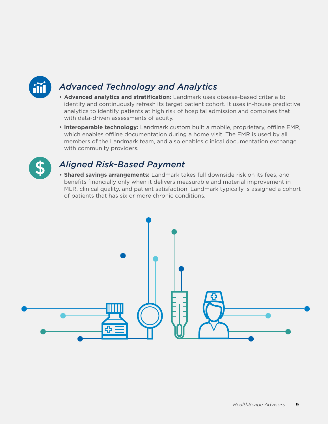

### *Advanced Technology and Analytics*

- **• Advanced analytics and stratification:** Landmark uses disease-based criteria to identify and continuously refresh its target patient cohort. It uses in-house predictive analytics to identify patients at high risk of hospital admission and combines that with data-driven assessments of acuity.
- **• Interoperable technology:** Landmark custom built a mobile, proprietary, offline EMR, which enables offline documentation during a home visit. The EMR is used by all members of the Landmark team, and also enables clinical documentation exchange with community providers.



#### *Aligned Risk-Based Payment*

**• Shared savings arrangements:** Landmark takes full downside risk on its fees, and benefits financially only when it delivers measurable and material improvement in MLR, clinical quality, and patient satisfaction. Landmark typically is assigned a cohort of patients that has six or more chronic conditions.

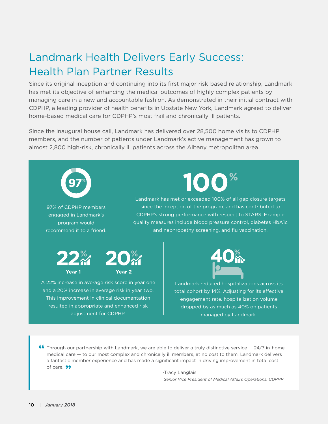### Landmark Health Delivers Early Success: Health Plan Partner Results

Since its original inception and continuing into its first major risk-based relationship, Landmark has met its objective of enhancing the medical outcomes of highly complex patients by managing care in a new and accountable fashion. As demonstrated in their initial contract with CDPHP, a leading provider of health benefits in Upstate New York, Landmark agreed to deliver home-based medical care for CDPHP's most frail and chronically ill patients.

Since the inaugural house call, Landmark has delivered over 28,500 home visits to CDPHP members, and the number of patients under Landmark's active management has grown to almost 2,800 high-risk, chronically ill patients across the Albany metropolitan area.



• Through our partnership with Landmark, we are able to deliver a truly distinctive service — 24/7 in-home medical care — to our most complex and chronically ill members, at no cost to them. Landmark delivers medical care — to our most complex and chronically ill members, at no cost to them. Landmark delivers a fantastic member experience and has made a significant impact in driving improvement in total cost of care. **99** 

-Tracy Langlais  *Senior Vice President of Medical Affairs Operations, CDPHP*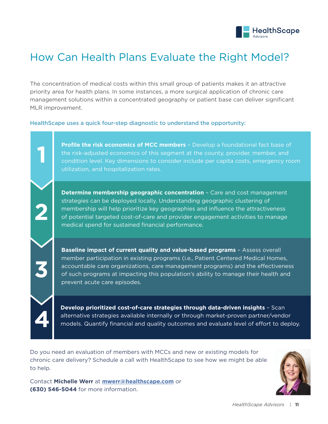

### How Can Health Plans Evaluate the Right Model?

The concentration of medical costs within this small group of patients makes it an attractive priority area for health plans. In some instances, a more surgical application of chronic care management solutions within a concentrated geography or patient base can deliver significant MLR improvement.

HealthScape uses a quick four-step diagnostic to understand the opportunity:

**Profile the risk economics of MCC members** – Develop a foundational fact base of the risk-adjusted economics of this segment at the county, provider, member, and condition level. Key dimensions to consider include per capita costs, emergency room utilization, and hospitalization rates.

**Determine membership geographic concentration** – Care and cost management strategies can be deployed locally. Understanding geographic clustering of membership will help prioritize key geographies and influence the attractiveness of potential targeted cost-of-care and provider engagement activities to manage medical spend for sustained financial performance.

**Baseline impact of current quality and value-based programs** – Assess overall member participation in existing programs (i.e., Patient Centered Medical Homes, accountable care organizations, care management programs) and the effectiveness of such programs at impacting this population's ability to manage their health and prevent acute care episodes.

**Develop prioritized cost-of-care strategies through data-driven insights** – Scan alternative strategies available internally or through market-proven partner/vendor models. Quantify financial and quality outcomes and evaluate level of effort to deploy.

Do you need an evaluation of members with MCCs and new or existing models for chronic care delivery? Schedule a call with HealthScape to see how we might be able to help.

Contact **Michelle Werr** at **[mwerr@healthscape.com](mailto:mwerr@healthscape.com)** or **(630) 546-5044** for more information.

**4**

**3**

**2**

**1**